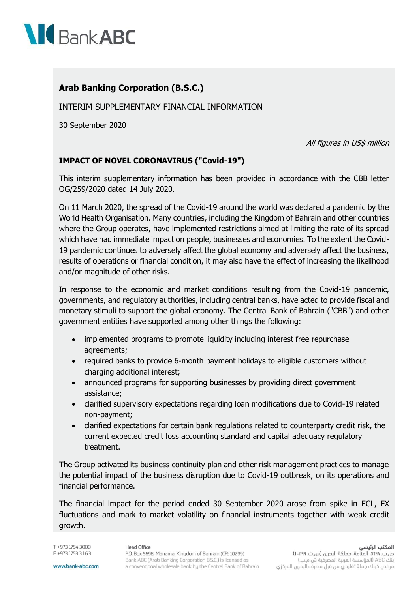

## **Arab Banking Corporation (B.S.C.)**

INTERIM SUPPLEMENTARY FINANCIAL INFORMATION

30 September 2020

All figures in US\$ million

## **IMPACT OF NOVEL CORONAVIRUS ("Covid-19")**

This interim supplementary information has been provided in accordance with the CBB letter OG/259/2020 dated 14 July 2020.

On 11 March 2020, the spread of the Covid-19 around the world was declared a pandemic by the World Health Organisation. Many countries, including the Kingdom of Bahrain and other countries where the Group operates, have implemented restrictions aimed at limiting the rate of its spread which have had immediate impact on people, businesses and economies. To the extent the Covid-19 pandemic continues to adversely affect the global economy and adversely affect the business, results of operations or financial condition, it may also have the effect of increasing the likelihood and/or magnitude of other risks.

In response to the economic and market conditions resulting from the Covid-19 pandemic, governments, and regulatory authorities, including central banks, have acted to provide fiscal and monetary stimuli to support the global economy. The Central Bank of Bahrain ("CBB") and other government entities have supported among other things the following:

- implemented programs to promote liquidity including interest free repurchase agreements;
- required banks to provide 6-month payment holidays to eligible customers without charging additional interest;
- announced programs for supporting businesses by providing direct government assistance;
- clarified supervisory expectations regarding loan modifications due to Covid-19 related non-payment;
- clarified expectations for certain bank regulations related to counterparty credit risk, the current expected credit loss accounting standard and capital adequacy regulatory treatment.

The Group activated its business continuity plan and other risk management practices to manage the potential impact of the business disruption due to Covid-19 outbreak, on its operations and financial performance.

The financial impact for the period ended 30 September 2020 arose from spike in ECL, FX fluctuations and mark to market volatility on financial instruments together with weak credit growth.

T +973 1754 3000 F +973 1753 3163

## **Head Office**